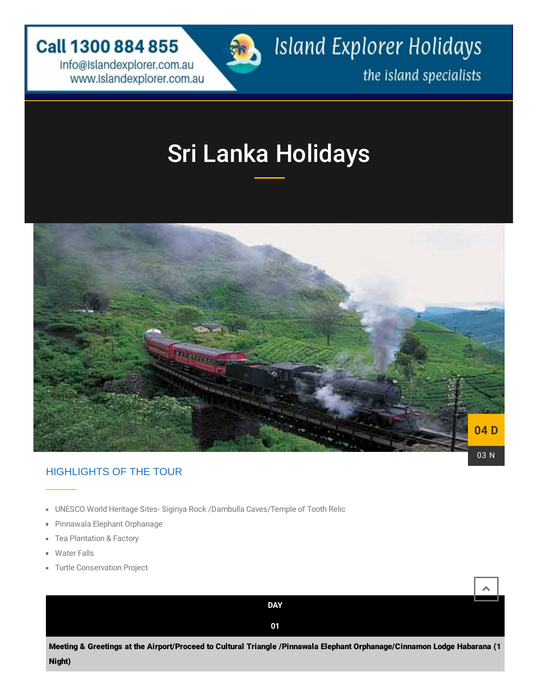**Call 1300 884 855** 

info@islandexplorer.com.au marketing community of the island specialists www.islandexplorer.com.au and the island specialists



Island Explorer Holidays

# [Sri Lanka Holidays](https://gn521.infusionsoft.com/app/form/6e270e72919d197de4e7d3d8b45a3707)



## HIGHLIGHTS OF THE TOUR

- UNESCO World Heritage Sites- Sigiriya Rock /Dambulla Caves/Temple of Tooth Relic
- Pinnawala Elephant Orphanage a.
- Tea Plantation & Factory m.
- Water Falls
- **Turtle Conservation Project**

| <b>DAY</b>                                                                                                               |  |  |  |
|--------------------------------------------------------------------------------------------------------------------------|--|--|--|
| 01                                                                                                                       |  |  |  |
| Meeting & Greetings at the Airport/Proceed to Cultural Triangle /Pinnawala Elephant Orphanage/Cinnamon Lodge Habarana (1 |  |  |  |
| Night)                                                                                                                   |  |  |  |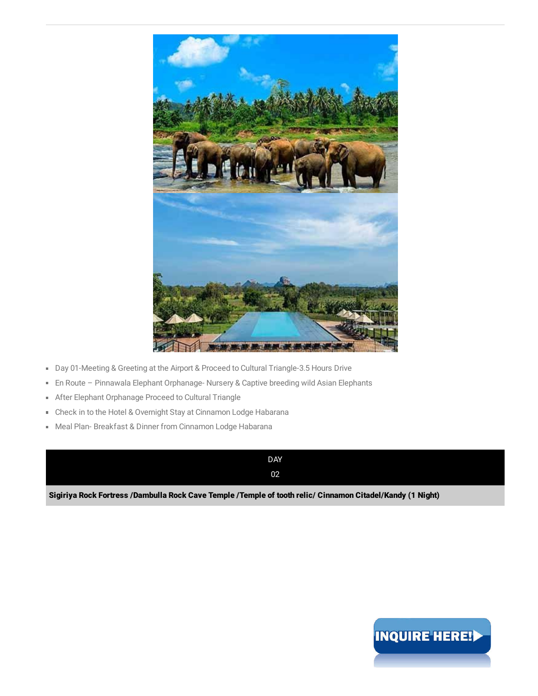

- Day 01-Meeting & Greeting at the Airport & Proceed to Cultural Triangle-3.5 Hours Drive
- En Route Pinnawala Elephant Orphanage- Nursery & Captive breeding wild Asian Elephants a,
- **After Elephant Orphanage Proceed to Cultural Triangle**
- **Check in to the Hotel & Overnight Stay at Cinnamon Lodge Habarana**
- Meal Plan- Breakfast & Dinner from Cinnamon Lodge Habarana

DAY 02

Sigiriya Rock Fortress /Dambulla Rock Cave Temple /Temple of tooth relic/ Cinnamon Citadel/Kandy (1 Night)

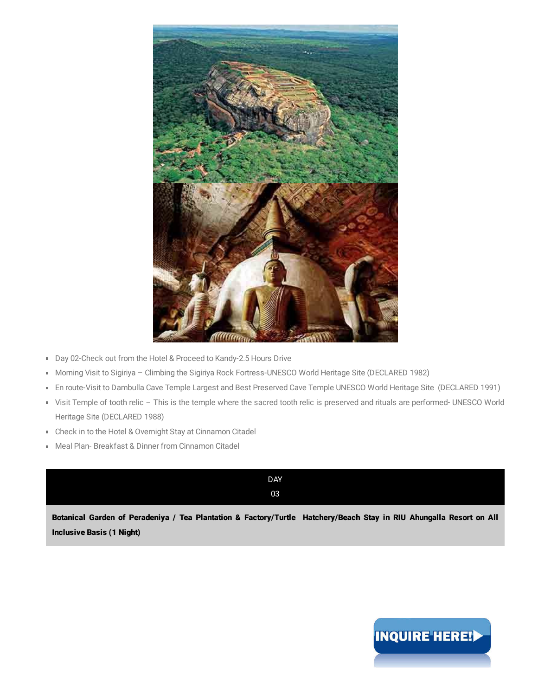

- Day 02-Check out from the Hotel & Proceed to Kandy-2.5 Hours Drive
- Morning Visit to Sigiriya Climbing the Sigiriya Rock Fortress-UNESCO World Heritage Site (DECLARED 1982)
- En route-Visit to Dambulla Cave Temple Largest and Best Preserved Cave Temple UNESCO World Heritage Site (DECLARED 1991)
- Visit Temple of tooth relic This is the temple where the sacred tooth relic is preserved and rituals are performed- UNESCO World Heritage Site (DECLARED 1988)
- Check in to the Hotel & Overnight Stay at Cinnamon Citadel
- Meal Plan- Breakfast & Dinner from Cinnamon Citadel

| <b>DAY</b>                                                                                                          |
|---------------------------------------------------------------------------------------------------------------------|
| 03                                                                                                                  |
| Botanical Garden of Peradeniya / Tea Plantation & Factory/Turtle Hatchery/Beach Stay in RIU Ahungalla Resort on All |
| <b>Inclusive Basis (1 Night)</b>                                                                                    |

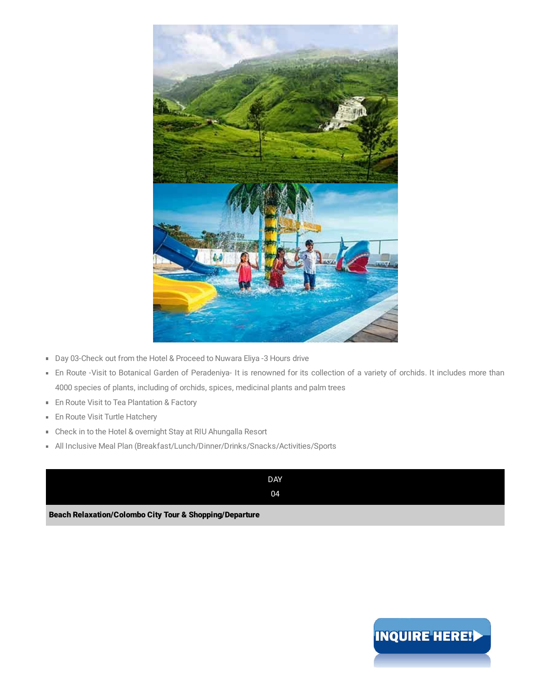

- Day 03-Check out from the Hotel & Proceed to Nuwara Eliya -3 Hours drive
- En Route -Visit to Botanical Garden of Peradeniya- It is renowned for its collection of a variety of orchids. It includes more than 4000 species of plants, including of orchids, spices, medicinal plants and palm trees
- **En Route Visit to Tea Plantation & Factory**
- En Route Visit Turtle Hatchery u,
- Check in to the Hotel & overnight Stay at RIU Ahungalla Resort
- All Inclusive Meal Plan (Breakfast/Lunch/Dinner/Drinks/Snacks/Activities/Sports



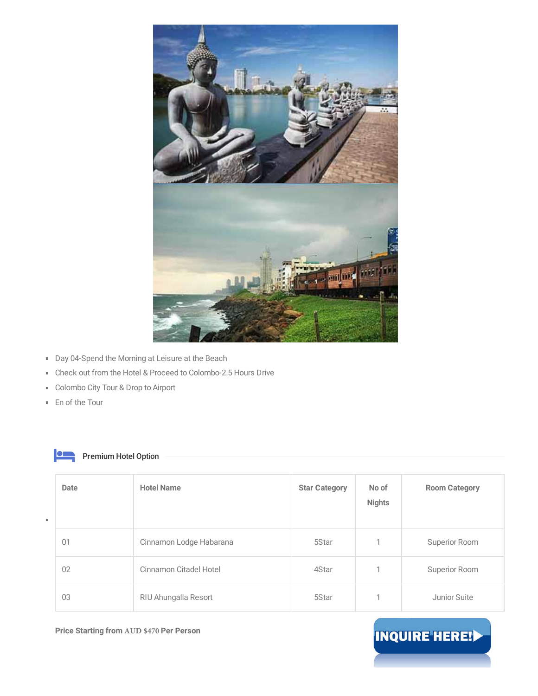

- Day 04-Spend the Morning at Leisure at the Beach
- Check out from the Hotel & Proceed to Colombo-2.5 Hours Drive
- Colombo City Tour & Drop to Airport
- En of the Tour

### **Premium Hotel Option**

| Date | <b>Hotel Name</b>       | <b>Star Category</b> | No of<br><b>Nights</b> | <b>Room Category</b> |
|------|-------------------------|----------------------|------------------------|----------------------|
| 01   | Cinnamon Lodge Habarana | 5Star                |                        | Superior Room        |
| 02   | Cinnamon Citadel Hotel  | 4Star                |                        | Superior Room        |
| 03   | RIU Ahungalla Resort    | 5Star                |                        | Junior Suite         |

**Price Starting from AUD \$470 Per Person**

# INQUIRE HERE!